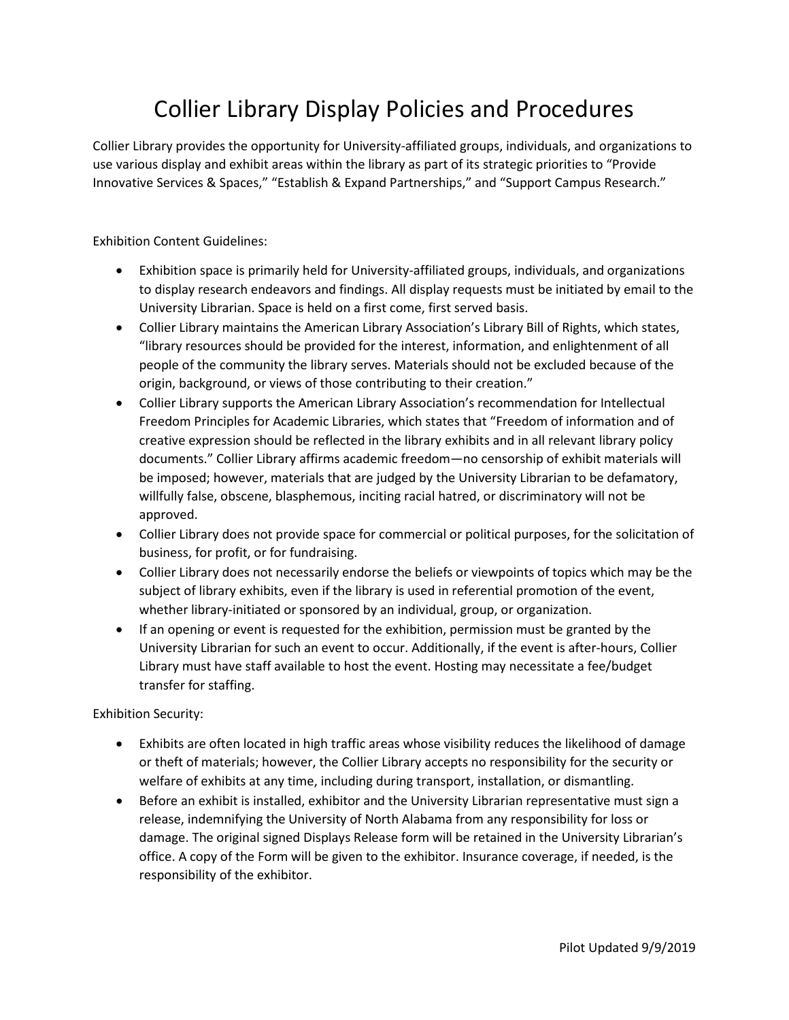## Collier Library Display Policies and Procedures

Collier Library provides the opportunity for University-affiliated groups, individuals, and organizations to use various display and exhibit areas within the library as part of its strategic priorities to "Provide Innovative Services & Spaces," "Establish & Expand Partnerships," and "Support Campus Research."

Exhibition Content Guidelines:

- Exhibition space is primarily held for University-affiliated groups, individuals, and organizations to display research endeavors and findings. All display requests must be initiated by email to the University Librarian. Space is held on a first come, first served basis.
- Collier Library maintains the American Library Association's Library Bill of Rights, which states, "library resources should be provided for the interest, information, and enlightenment of all people of the community the library serves. Materials should not be excluded because of the origin, background, or views of those contributing to their creation."
- Collier Library supports the American Library Association's recommendation for Intellectual Freedom Principles for Academic Libraries, which states that "Freedom of information and of creative expression should be reflected in the library exhibits and in all relevant library policy documents." Collier Library affirms academic freedom—no censorship of exhibit materials will be imposed; however, materials that are judged by the University Librarian to be defamatory, willfully false, obscene, blasphemous, inciting racial hatred, or discriminatory will not be approved.
- Collier Library does not provide space for commercial or political purposes, for the solicitation of business, for profit, or for fundraising.
- Collier Library does not necessarily endorse the beliefs or viewpoints of topics which may be the subject of library exhibits, even if the library is used in referential promotion of the event, whether library-initiated or sponsored by an individual, group, or organization.
- If an opening or event is requested for the exhibition, permission must be granted by the University Librarian for such an event to occur. Additionally, if the event is after-hours, Collier Library must have staff available to host the event. Hosting may necessitate a fee/budget transfer for staffing.

Exhibition Security:

- Exhibits are often located in high traffic areas whose visibility reduces the likelihood of damage or theft of materials; however, the Collier Library accepts no responsibility for the security or welfare of exhibits at any time, including during transport, installation, or dismantling.
- Before an exhibit is installed, exhibitor and the University Librarian representative must sign a release, indemnifying the University of North Alabama from any responsibility for loss or damage. The original signed Displays Release form will be retained in the University Librarian's office. A copy of the Form will be given to the exhibitor. Insurance coverage, if needed, is the responsibility of the exhibitor.